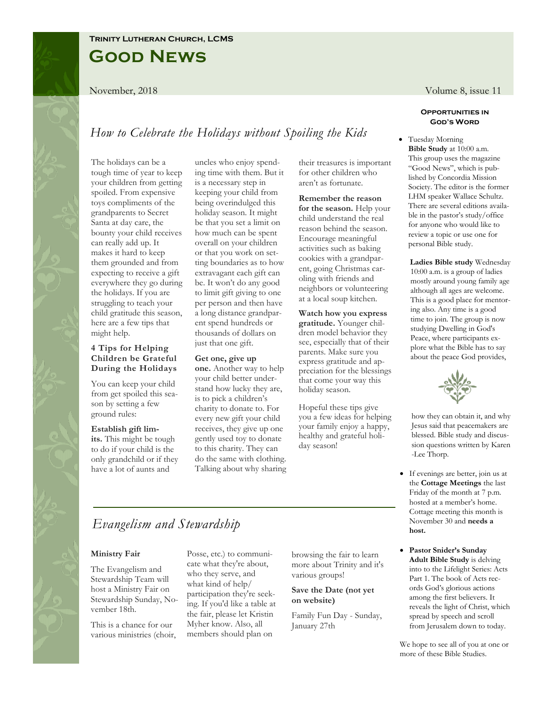### **Trinity Lutheran Church, LCMS**

# **Good News**

## *How to Celebrate the Holidays without Spoiling the Kids*

The holidays can be a tough time of year to keep your children from getting spoiled. From expensive toys compliments of the grandparents to Secret Santa at day care, the bounty your child receives can really add up. It makes it hard to keep them grounded and from expecting to receive a gift everywhere they go during the holidays. If you are struggling to teach your child gratitude this season, here are a few tips that might help.

### **4 Tips for Helping Children be Grateful During the Holidays**

You can keep your child from get spoiled this season by setting a few ground rules:

### **Establish gift lim-**

**its.** This might be tough to do if your child is the only grandchild or if they have a lot of aunts and

uncles who enjoy spending time with them. But it is a necessary step in keeping your child from being overindulged this holiday season. It might be that you set a limit on how much can be spent overall on your children or that you work on setting boundaries as to how extravagant each gift can be. It won't do any good to limit gift giving to one per person and then have a long distance grandparent spend hundreds or thousands of dollars on just that one gift.

### **Get one, give up**

**one.** Another way to help your child better understand how lucky they are, is to pick a children's charity to donate to. For every new gift your child receives, they give up one gently used toy to donate to this charity. They can do the same with clothing. Talking about why sharing their treasures is important for other children who aren't as fortunate.

**Remember the reason for the season.** Help your child understand the real reason behind the season. Encourage meaningful activities such as baking cookies with a grandparent, going Christmas caroling with friends and neighbors or volunteering at a local soup kitchen.

**Watch how you express gratitude.** Younger children model behavior they see, especially that of their parents. Make sure you express gratitude and appreciation for the blessings that come your way this holiday season.

Hopeful these tips give you a few ideas for helping your family enjoy a happy, healthy and grateful holiday season!

November, 2018 **Volume 8, issue 11** Volume 8, issue 11

#### **Opportunities in God's Word**

• Tuesday Morning **Bible Study** at 10:00 a.m. This group uses the magazine "Good News", which is published by Concordia Mission Society. The editor is the former LHM speaker Wallace Schultz. There are several editions available in the pastor's study/office for anyone who would like to review a topic or use one for personal Bible study.

**Ladies Bible study** Wednesday 10:00 a.m. is a group of ladies mostly around young family age although all ages are welcome. This is a good place for mentoring also. Any time is a good time to join. The group is now studying Dwelling in God's Peace, where participants explore what the Bible has to say about the peace God provides,



how they can obtain it, and why Jesus said that peacemakers are blessed. Bible study and discussion questions written by Karen -Lee Thorp.

- If evenings are better, join us at the **Cottage Meetings** the last Friday of the month at 7 p.m. hosted at a member's home. Cottage meeting this month is November 30 and **needs a host.**
- **Pastor Snider's Sunday Adult Bible Study** is delving into to the Lifelight Series: Acts Part 1. The book of Acts records God's glorious actions among the first believers. It reveals the light of Christ, which spread by speech and scroll from Jerusalem down to today.

We hope to see all of you at one or more of these Bible Studies.

# *Evangelism and Stewardship*

#### **Ministry Fair**

The Evangelism and Stewardship Team will host a Ministry Fair on Stewardship Sunday, November 18th.

This is a chance for our various ministries (choir, Posse, etc.) to communicate what they're about, who they serve, and what kind of help/ participation they're seeking. If you'd like a table at the fair, please let Kristin Myher know. Also, all members should plan on

browsing the fair to learn more about Trinity and it's various groups!

### **Save the Date (not yet on website)**

Family Fun Day - Sunday, January 27th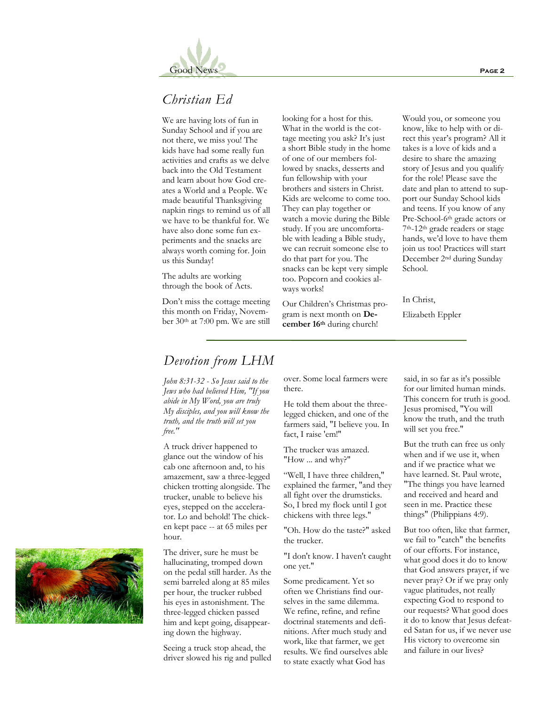

## *Christian Ed*

We are having lots of fun in Sunday School and if you are not there, we miss you! The kids have had some really fun activities and crafts as we delve back into the Old Testament and learn about how God creates a World and a People. We made beautiful Thanksgiving napkin rings to remind us of all we have to be thankful for. We have also done some fun experiments and the snacks are always worth coming for. Join us this Sunday!

The adults are working through the book of Acts.

Don't miss the cottage meeting this month on Friday, November 30th at 7:00 pm. We are still looking for a host for this. What in the world is the cottage meeting you ask? It's just a short Bible study in the home of one of our members followed by snacks, desserts and fun fellowship with your brothers and sisters in Christ. Kids are welcome to come too. They can play together or watch a movie during the Bible study. If you are uncomfortable with leading a Bible study, we can recruit someone else to do that part for you. The snacks can be kept very simple too. Popcorn and cookies always works!

Our Children's Christmas program is next month on **December 16th** during church!

Would you, or someone you know, like to help with or direct this year's program? All it takes is a love of kids and a desire to share the amazing story of Jesus and you qualify for the role! Please save the date and plan to attend to support our Sunday School kids and teens. If you know of any Pre-School-6th grade actors or 7th-12th grade readers or stage hands, we'd love to have them join us too! Practices will start December 2nd during Sunday School.

In Christ,

Elizabeth Eppler

### *Devotion from LHM*

*John 8:31-32 - So Jesus said to the Jews who had believed Him, "If you abide in My Word, you are truly My disciples, and you will know the truth, and the truth will set you free."*

A truck driver happened to glance out the window of his cab one afternoon and, to his amazement, saw a three-legged chicken trotting alongside. The trucker, unable to believe his eyes, stepped on the accelerator. Lo and behold! The chicken kept pace -- at 65 miles per hour.

The driver, sure he must be hallucinating, tromped down on the pedal still harder. As the semi barreled along at 85 miles per hour, the trucker rubbed his eyes in astonishment. The three-legged chicken passed him and kept going, disappearing down the highway.

Seeing a truck stop ahead, the driver slowed his rig and pulled over. Some local farmers were there.

He told them about the threelegged chicken, and one of the farmers said, "I believe you. In fact, I raise 'em!"

The trucker was amazed. "How ... and why?"

"Well, I have three children," explained the farmer, "and they all fight over the drumsticks. So, I bred my flock until I got chickens with three legs."

"Oh. How do the taste?" asked the trucker.

"I don't know. I haven't caught one yet."

Some predicament. Yet so often we Christians find ourselves in the same dilemma. We refine, refine, and refine doctrinal statements and definitions. After much study and work, like that farmer, we get results. We find ourselves able to state exactly what God has

said, in so far as it's possible for our limited human minds. This concern for truth is good. Jesus promised, "You will know the truth, and the truth will set you free."

But the truth can free us only when and if we use it, when and if we practice what we have learned. St. Paul wrote, "The things you have learned and received and heard and seen in me. Practice these things" (Philippians 4:9).

But too often, like that farmer, we fail to "catch" the benefits of our efforts. For instance, what good does it do to know that God answers prayer, if we never pray? Or if we pray only vague platitudes, not really expecting God to respond to our requests? What good does it do to know that Jesus defeated Satan for us, if we never use His victory to overcome sin and failure in our lives?

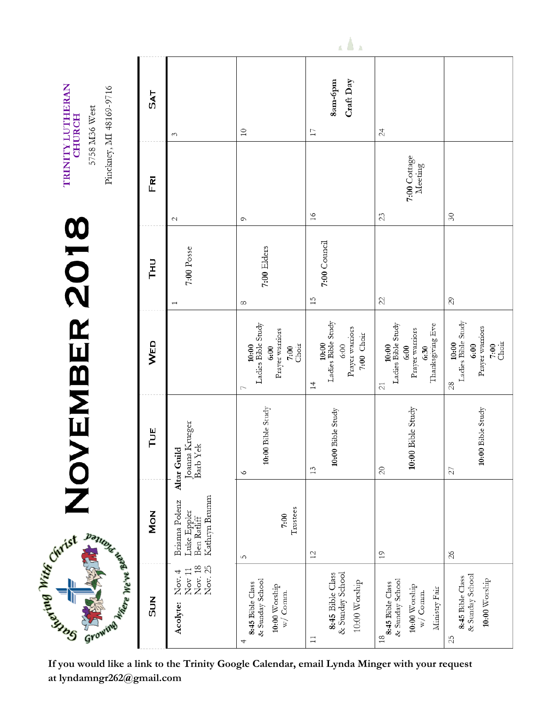| TRINITY LUTHERAN<br>Pinckney, MI 48169-9716<br>5758 M36 West<br><b>CHURCH</b> | <b>SAT</b> | S                                                              | $\supseteq$                                                                  | 8am-6pm<br>Craft Day<br>17                                                 | 24                                                                                                    |                                                                             |
|-------------------------------------------------------------------------------|------------|----------------------------------------------------------------|------------------------------------------------------------------------------|----------------------------------------------------------------------------|-------------------------------------------------------------------------------------------------------|-----------------------------------------------------------------------------|
|                                                                               | FRI        | $\mathcal{C}$                                                  | $\circ$                                                                      | 16                                                                         | 7:00 Cottage<br>Meeting<br>23                                                                         | $\delta$ 0                                                                  |
| VEMBER 2018<br>Surface Mitte Curist Banner Kapel                              | Tнu        | 7:00 Posse<br>$\overline{\phantom{0}}$                         | 7:00 Elders<br>8                                                             | 7:00 Council<br>15                                                         | $\mathbf{z}$                                                                                          | 29                                                                          |
|                                                                               | WED        |                                                                | Ladies Bible Study<br>Prayer warriors<br>Choir<br>10:00<br>7:00<br>6:00<br>Γ | 10:00<br>Ladies Bible Study<br>Prayer warriors<br>7:00 Choir<br>6:00<br>14 | 6:30<br>Thanksgiving Eve<br>10:00<br>Ladies Bible Study<br>Prayer warriors<br>6:00<br>$\overline{21}$ | 3<br>Ladies Bible Study<br>Prayer warriors<br>$7:00$<br>Choir<br>6:00<br>28 |
|                                                                               | TUE        | Joanna Krueger<br>Barb Yek<br>Altar Guild                      | 10:00 Bible Study<br>$\circ$                                                 | 10:00 Bible Study<br>13                                                    | $10:00$ Bible Study<br>$\overline{20}$                                                                | 10:00 Bible Study<br>27                                                     |
|                                                                               | <b>MON</b> | Kathryn Brunnn<br>Brianna Polenz<br>Luke Eppler<br>Ben Ratliff | Trustees<br>7:00<br>ഗ                                                        | 12                                                                         | 19                                                                                                    | 26                                                                          |
|                                                                               | <b>SUN</b> | Nov. 18<br>Nov. 25<br>Nov $11$<br>Nov. 4<br>Acolyte:           | & Sunday School<br>8:45 Bible Class<br>10:00 Worship<br>w/Connn.<br>4        | & Sunday School<br>8:45 Bible Class<br>10:00 Worship<br>$\Box$             | & Sunday School<br>8:45 Bible Class<br>10:00 Worship<br>Ministry Fair<br>w/Comm.<br>$\frac{8}{10}$    | & Sunday School<br>8:45 Bible Class<br>10:00 Worship<br>25                  |

If you would like a link to the Trinity Google Calendar, email Lynda Minger with your request at lyndamngr262@gmail.com

 $\Delta$   $\Delta$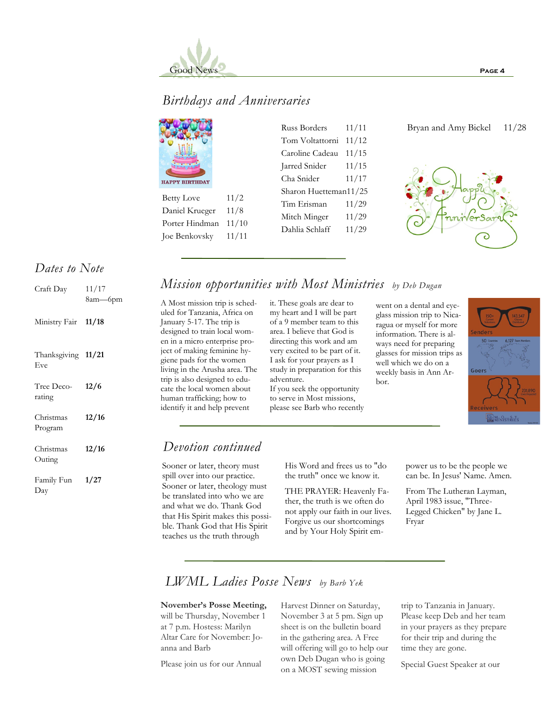

## *Birthdays and Anniversaries*

| <b>HAPPY BIRTHDAY</b> |  |
|-----------------------|--|

Betty Love 11/2 Daniel Krueger 11/8 Porter Hindman 11/10 Joe Benkovsky 11/11

### Russ Borders 11/11 Tom Voltattorni 11/12 Caroline Cadeau 11/15 Jarred Snider 11/15 Cha Snider 11/17 Sharon Huetteman11/25 Tim Erisman 11/29 Mitch Minger 11/29 Dahlia Schlaff 11/29

### Bryan and Amy Bickel 11/28



### *Dates to Note*

| Craft Day                 | 11/17<br>8am—6pm |
|---------------------------|------------------|
| Ministry Fair 11/18       |                  |
| Thanksgiving 11/21<br>Eve |                  |
| Tree Deco-<br>rating      | 12/6             |
| Christmas<br>Program      | 12/16            |
| Christmas<br>Outing       | 12/16            |
| Family Fun<br>Day         | 1/27             |

## *Mission opportunities with Most Ministries by Deb Dugan*

A Most mission trip is scheduled for Tanzania, Africa on January 5-17. The trip is designed to train local women in a micro enterprise project of making feminine hygiene pads for the women living in the Arusha area. The trip is also designed to educate the local women about human trafficking; how to identify it and help prevent

it. These goals are dear to my heart and I will be part of a 9 member team to this area. I believe that God is directing this work and am very excited to be part of it. I ask for your prayers as I study in preparation for this adventure. If you seek the opportunity to serve in Most missions, please see Barb who recently

went on a dental and eyeglass mission trip to Nicaragua or myself for more information. There is always need for preparing glasses for mission trips as well which we do on a weekly basis in Ann Arbor.



### *Devotion continued*

Sooner or later, theory must spill over into our practice. Sooner or later, theology must be translated into who we are and what we do. Thank God that His Spirit makes this possible. Thank God that His Spirit teaches us the truth through

His Word and frees us to "do the truth" once we know it.

THE PRAYER: Heavenly Father, the truth is we often do not apply our faith in our lives. Forgive us our shortcomings and by Your Holy Spirit empower us to be the people we can be. In Jesus' Name. Amen.

From The Lutheran Layman, April 1983 issue, "Three-Legged Chicken" by Jane L. Fryar

## *LWML Ladies Posse News by Barb Yek*

**November's Posse Meeting,**  will be Thursday, November 1 at 7 p.m. Hostess: Marilyn Altar Care for November: Joanna and Barb

Please join us for our Annual

Harvest Dinner on Saturday, November 3 at 5 pm. Sign up sheet is on the bulletin board in the gathering area. A Free will offering will go to help our own Deb Dugan who is going on a MOST sewing mission

trip to Tanzania in January. Please keep Deb and her team in your prayers as they prepare for their trip and during the time they are gone.

Special Guest Speaker at our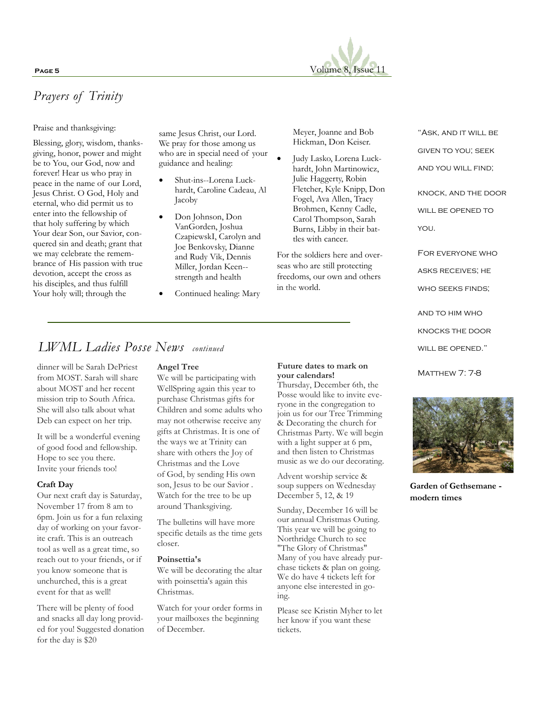

# *Prayers of Trinity*

Praise and thanksgiving:

Blessing, glory, wisdom, thanksgiving, honor, power and might be to You, our God, now and forever! Hear us who pray in peace in the name of our Lord, Jesus Christ. O God, Holy and eternal, who did permit us to enter into the fellowship of that holy suffering by which Your dear Son, our Savior, conquered sin and death; grant that we may celebrate the remembrance of His passion with true devotion, accept the cross as his disciples, and thus fulfill Your holy will; through the

same Jesus Christ, our Lord. We pray for those among us who are in special need of your guidance and healing:

- Shut-ins--Lorena Luckhardt, Caroline Cadeau, Al Jacoby
- Don Johnson, Don VanGorden, Joshua CzapiewskI, Carolyn and Joe Benkovsky, Dianne and Rudy Vik, Dennis Miller, Jordan Keen- strength and health
- Continued healing: Mary

Meyer, Joanne and Bob Hickman, Don Keiser.

• Judy Lasko, Lorena Luckhardt, John Martinowicz, Julie Haggerty, Robin Fletcher, Kyle Knipp, Don Fogel, Ava Allen, Tracy Brohmen, Kenny Cadle, Carol Thompson, Sarah Burns, Libby in their battles with cancer.

For the soldiers here and overseas who are still protecting freedoms, our own and others in the world.

"ASK, AND IT WILL BE given to you; seek AND YOU WILL FIND;

knock, and the door WILL BE OPENED TO you.

For everyone who asks receives; he

WHO SEEKS FINDS;

and to him who

knocks the door

WILL BE OPENED."

**MATTHEW 7: 7-8** 



**Garden of Gethsemane modern times**

# *LWML Ladies Posse News continued*

dinner will be Sarah DePriest from MOST. Sarah will share about MOST and her recent mission trip to South Africa. She will also talk about what Deb can expect on her trip.

It will be a wonderful evening of good food and fellowship. Hope to see you there. Invite your friends too!

### **Craft Day**

Our next craft day is Saturday, November 17 from 8 am to 6pm. Join us for a fun relaxing day of working on your favorite craft. This is an outreach tool as well as a great time, so reach out to your friends, or if you know someone that is unchurched, this is a great event for that as well!

There will be plenty of food and snacks all day long provided for you! Suggested donation for the day is \$20

### **Angel Tree**

We will be participating with WellSpring again this year to purchase Christmas gifts for Children and some adults who may not otherwise receive any gifts at Christmas. It is one of the ways we at Trinity can share with others the Joy of Christmas and the Love of God, by sending His own son, Jesus to be our Savior . Watch for the tree to be up around Thanksgiving.

The bulletins will have more specific details as the time gets closer.

#### **Poinsettia's**

We will be decorating the altar with poinsettia's again this Christmas.

Watch for your order forms in your mailboxes the beginning of December.

### **Future dates to mark on your calendars!**

Thursday, December 6th, the Posse would like to invite everyone in the congregation to join us for our Tree Trimming & Decorating the church for Christmas Party. We will begin with a light supper at 6 pm, and then listen to Christmas music as we do our decorating.

Advent worship service & soup suppers on Wednesday December 5, 12, & 19

Sunday, December 16 will be our annual Christmas Outing. This year we will be going to Northridge Church to see "The Glory of Christmas" Many of you have already purchase tickets & plan on going. We do have 4 tickets left for anyone else interested in going.

Please see Kristin Myher to let her know if you want these tickets.